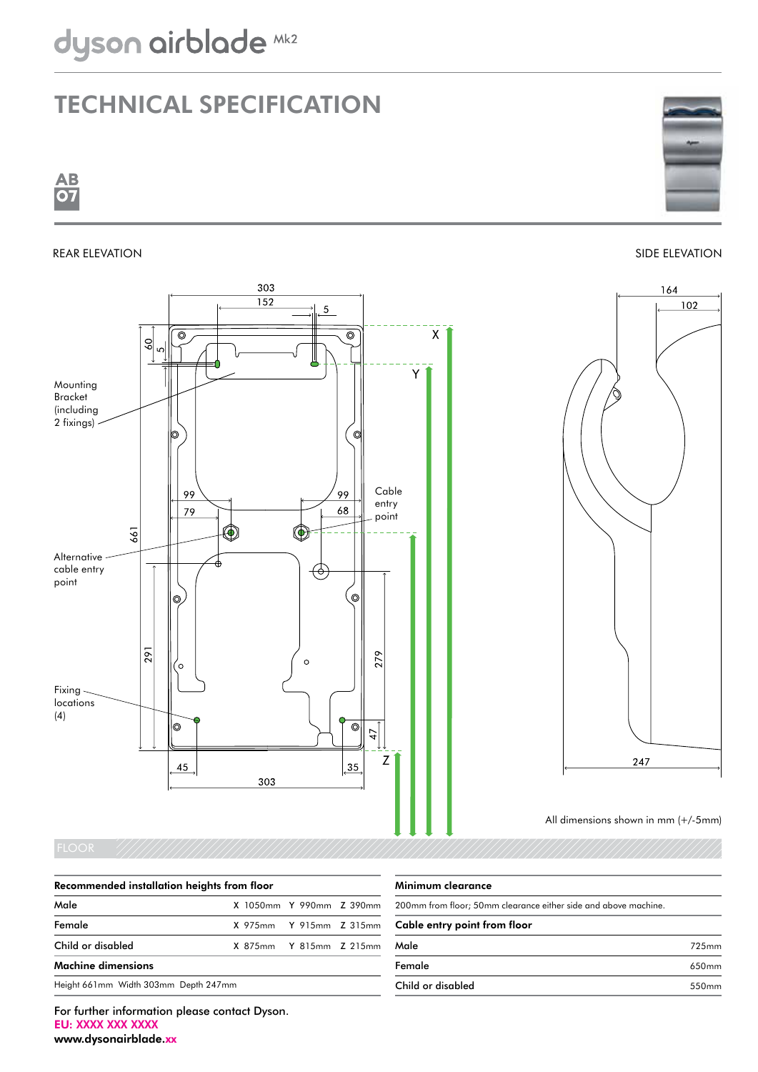## Technical specification







102

164





247

## Recommended installation heights from floor

| Male                                 | X 1050mm Y 990mm Z 390mm |  |
|--------------------------------------|--------------------------|--|
| Female                               | X 975mm Y 915mm Z 315mm  |  |
| Child or disabled                    | X 875mm Y 815mm Z 215mm  |  |
| <b>Machine dimensions</b>            |                          |  |
| Height 661mm Width 303mm Depth 247mm |                          |  |

## Minimum clearance

| 200mm from floor; 50mm clearance either side and above machine.<br>Cable entry point from floor |       |  |
|-------------------------------------------------------------------------------------------------|-------|--|
|                                                                                                 |       |  |
| Female                                                                                          | 650mm |  |
| Child or disabled                                                                               | 550mm |  |

For further information please contact Dyson. EU: XXXX XXX XXXX www.dysonairblade.xx